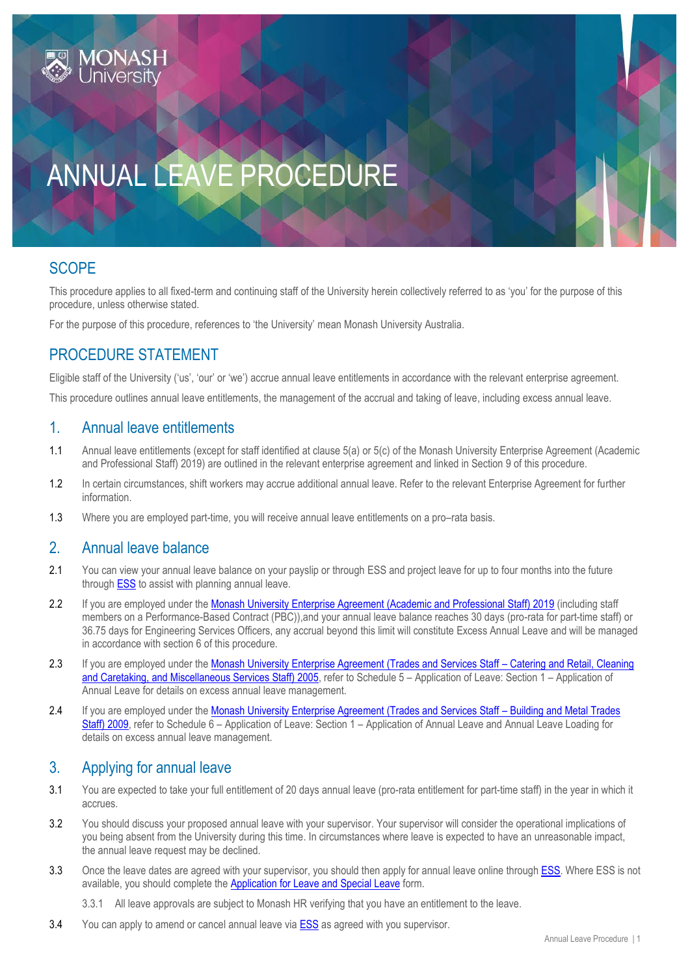

# ANNUAL LEAVE PROCEDURE

# **SCOPE**

This procedure applies to all fixed-term and continuing staff of the University herein collectively referred to as 'you' for the purpose of this procedure, unless otherwise stated.

For the purpose of this procedure, references to 'the University' mean Monash University Australia.

# PROCEDURE STATEMENT

Eligible staff of the University ('us', 'our' or 'we') accrue annual leave entitlements in accordance with the relevant enterprise agreement.

This procedure outlines annual leave entitlements, the management of the accrual and taking of leave, including excess annual leave.

## 1. Annual leave entitlements

- 1.1 Annual leave entitlements (except for staff identified at clause 5(a) or 5(c) of the Monash University Enterprise Agreement (Academic and Professional Staff) 2019) are outlined in the relevant enterprise agreement and linked in Section 9 of this procedure.
- 1.2 In certain circumstances, shift workers may accrue additional annual leave. Refer to the relevant Enterprise Agreement for further information.
- 1.3 Where you are employed part-time, you will receive annual leave entitlements on a pro–rata basis.

#### 2. Annual leave balance

- 2.1 You can view your annual leave balance on your payslip or through ESS and project leave for up to four months into the future through [ESS](https://eservices.monash.edu.au/irj/portal) to assist with planning annual leave.
- 2.2 If you are employed under the [Monash University Enterprise Agreement \(Academic and Professional Staff\) 2019](https://www.monash.edu/current-enterprise-agreements/academic-professional-2019) (including staff members on a Performance-Based Contract (PBC)),and your annual leave balance reaches 30 days (pro-rata for part-time staff) or 36.75 days for Engineering Services Officers, any accrual beyond this limit will constitute Excess Annual Leave and will be managed in accordance with section 6 of this procedure.
- 2.3 If you are employed under the [Monash University Enterprise Agreement \(Trades and Services Staff](https://www.monash.edu/current-enterprise-agreements/trades-services-crccm-2005)  Catering and Retail, Cleaning and Caretaking, [and Miscellaneous Services Staff\) 2005,](https://www.monash.edu/current-enterprise-agreements/trades-services-crccm-2005) refer to Schedule 5 - Application of Leave: Section 1 - Application of Annual Leave for details on excess annual leave management.
- 2.4 If you are employed under the [Monash University Enterprise Agreement \(Trades and Services Staff](https://www.monash.edu/__data/assets/pdf_file/0007/1047445/trades-services-bmt-2009.pdf)  Building and Metal Trades [Staff\) 2009,](https://www.monash.edu/__data/assets/pdf_file/0007/1047445/trades-services-bmt-2009.pdf) refer to Schedule 6 – Application of Leave: Section 1 – Application of Annual Leave and Annual Leave Loading for details on excess annual leave management.

# 3. Applying for annual leave

- 3.1 You are expected to take your full entitlement of 20 days annual leave (pro-rata entitlement for part-time staff) in the year in which it accrues.
- 3.2 You should discuss your proposed annual leave with your supervisor. Your supervisor will consider the operational implications of you being absent from the University during this time. In circumstances where leave is expected to have an unreasonable impact, the annual leave request may be declined.
- 3.3 Once the leave dates are agreed with your supervisor, you should then apply for annual leave online through [ESS.](https://eservices.monash.edu.au/irj/portal) Where ESS is not available, you should complete the [Application for Leave and Special Leave](https://www.monash.edu/eforms-resources/frevvo-forms/hr/leave-request) form.

3.3.1 All leave approvals are subject to Monash HR verifying that you have an entitlement to the leave.

3.4 You can apply to amend or cancel annual leave vi[a ESS](https://eservices.monash.edu.au/irj/portal) as agreed with you supervisor.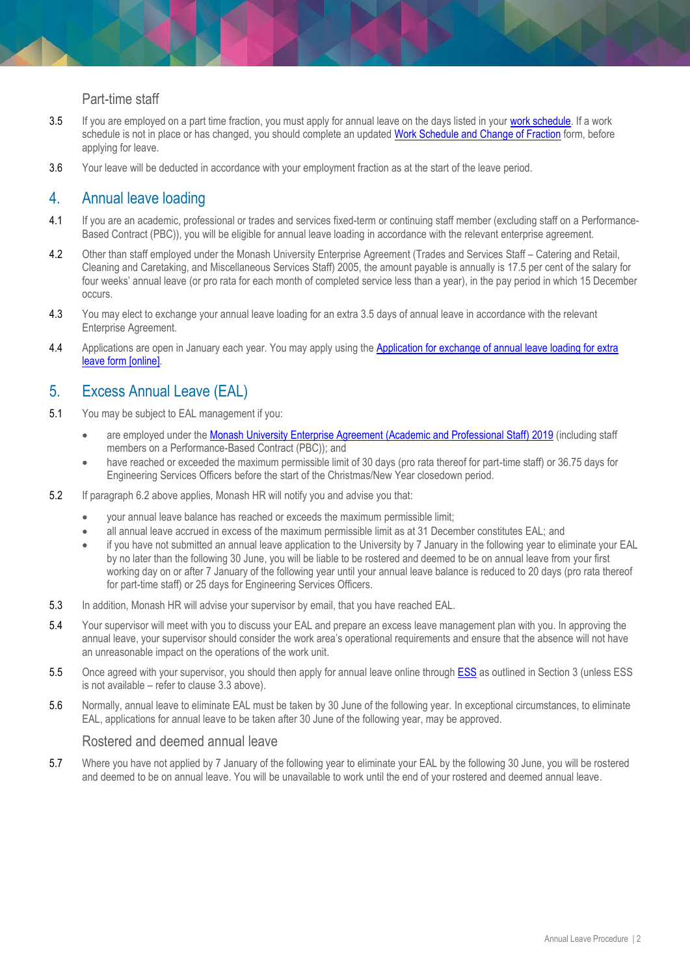#### Part-time staff

- 3.5 If you are employed on a part time fraction, you must apply for annual leave on the days listed in your [work schedule.](https://www.intranet.monash/hr/tools-and-resources/forms) If a work schedule is not in place or has changed, you should complete an updated [Work Schedule and Change of Fraction](https://www.intranet.monash/hr/tools-and-resources/forms) form, before applying for leave.
- 3.6 Your leave will be deducted in accordance with your employment fraction as at the start of the leave period.

## 4. Annual leave loading

- 4.1 If you are an academic, professional or trades and services fixed-term or continuing staff member (excluding staff on a Performance-Based Contract (PBC)), you will be eligible for annual leave loading in accordance with the relevant enterprise agreement.
- 4.2 Other than staff employed under the Monash University Enterprise Agreement (Trades and Services Staff Catering and Retail, Cleaning and Caretaking, and Miscellaneous Services Staff) 2005, the amount payable is annually is 17.5 per cent of the salary for four weeks' annual leave (or pro rata for each month of completed service less than a year), in the pay period in which 15 December occurs.
- 4.3 You may elect to exchange your annual leave loading for an extra 3.5 days of annual leave in accordance with the relevant Enterprise Agreement.
- 4.4 Applications are open in January each year. You may apply using the Application for exchange of annual leave loading for extra [leave form \[online\].](http://www.adm.monash.edu.au/human-resources/forms/)

# 5. Excess Annual Leave (EAL)

- 5.1 You may be subject to EAL management if you:
	- are employed under the [Monash University Enterprise Agreement \(Academic and Professional Staff\) 2019](https://www.monash.edu/current-enterprise-agreements/academic-professional-2019) (including staff members on a Performance-Based Contract (PBC)); and
	- have reached or exceeded the maximum permissible limit of 30 days (pro rata thereof for part-time staff) or 36.75 days for Engineering Services Officers before the start of the Christmas/New Year closedown period.
- 5.2 If paragraph 6.2 above applies, Monash HR will notify you and advise you that:
	- your annual leave balance has reached or exceeds the maximum permissible limit;
	- all annual leave accrued in excess of the maximum permissible limit as at 31 December constitutes EAL; and
	- if you have not submitted an annual leave application to the University by 7 January in the following year to eliminate your EAL by no later than the following 30 June, you will be liable to be rostered and deemed to be on annual leave from your first working day on or after 7 January of the following year until your annual leave balance is reduced to 20 days (pro rata thereof for part-time staff) or 25 days for Engineering Services Officers.
- 5.3 In addition, Monash HR will advise your supervisor by email, that you have reached EAL.
- 5.4 Your supervisor will meet with you to discuss your EAL and prepare an excess leave management plan with you. In approving the annual leave, your supervisor should consider the work area's operational requirements and ensure that the absence will not have an unreasonable impact on the operations of the work unit.
- 5.5 Once agreed with your supervisor, you should then apply for annual leave online through [ESS](https://eservices.monash.edu.au/irj/portal) as outlined in Section 3 (unless ESS is not available – refer to clause 3.3 above).
- 5.6 Normally, annual leave to eliminate EAL must be taken by 30 June of the following year. In exceptional circumstances, to eliminate EAL, applications for annual leave to be taken after 30 June of the following year, may be approved.

#### Rostered and deemed annual leave

5.7 Where you have not applied by 7 January of the following year to eliminate your EAL by the following 30 June, you will be rostered and deemed to be on annual leave. You will be unavailable to work until the end of your rostered and deemed annual leave.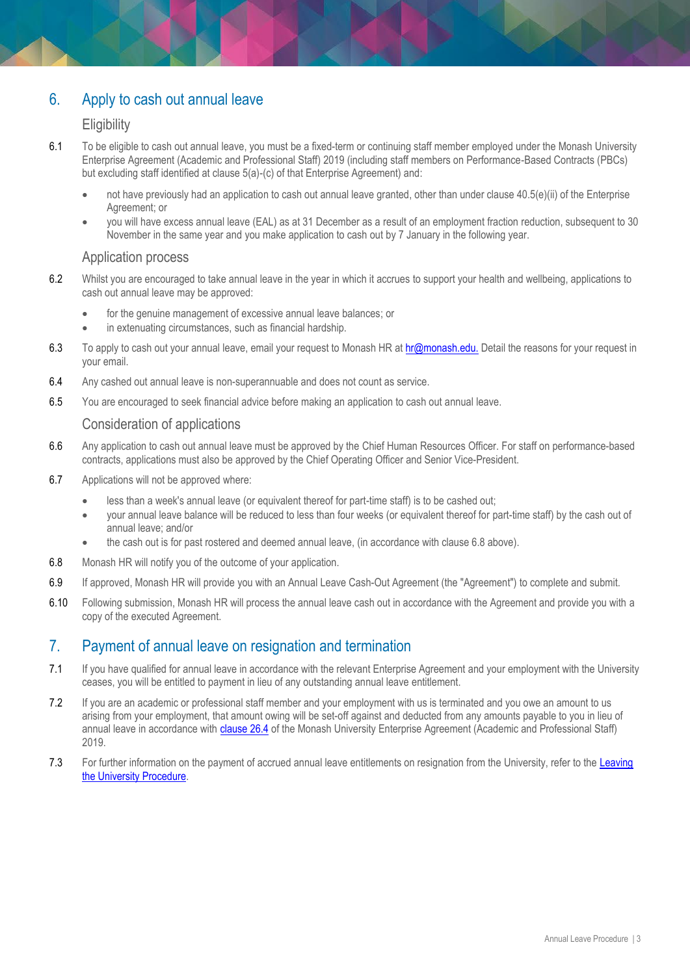# 6. Apply to cash out annual leave

#### **Eligibility**

- 6.1 To be eligible to cash out annual leave, you must be a fixed-term or continuing staff member employed under the Monash University Enterprise Agreement (Academic and Professional Staff) 2019 (including staff members on Performance-Based Contracts (PBCs) but excluding staff identified at clause 5(a)-(c) of that Enterprise Agreement) and:
	- not have previously had an application to cash out annual leave granted, other than under clause 40.5(e)(ii) of the Enterprise Agreement; or
	- you will have excess annual leave (EAL) as at 31 December as a result of an employment fraction reduction, subsequent to 30 November in the same year and you make application to cash out by 7 January in the following year.

#### Application process

- 6.2 Whilst you are encouraged to take annual leave in the year in which it accrues to support your health and wellbeing, applications to cash out annual leave may be approved:
	- for the genuine management of excessive annual leave balances; or
	- in extenuating circumstances, such as financial hardship.
- 6.3 To apply to cash out your annual leave, email your request to Monash HR at [hr@monash.edu.](mailto:hr@monash.edu) Detail the reasons for your request in your email.
- 6.4 Any cashed out annual leave is non-superannuable and does not count as service.
- 6.5 You are encouraged to seek financial advice before making an application to cash out annual leave.

#### Consideration of applications

- 6.6 Any application to cash out annual leave must be approved by the Chief Human Resources Officer. For staff on performance-based contracts, applications must also be approved by the Chief Operating Officer and Senior Vice-President.
- 6.7 Applications will not be approved where:
	- less than a week's annual leave (or equivalent thereof for part-time staff) is to be cashed out;
	- your annual leave balance will be reduced to less than four weeks (or equivalent thereof for part-time staff) by the cash out of annual leave; and/or
	- the cash out is for past rostered and deemed annual leave, (in accordance with clause 6.8 above).
- 6.8 Monash HR will notify you of the outcome of your application.
- 6.9 If approved, Monash HR will provide you with an Annual Leave Cash-Out Agreement (the "Agreement") to complete and submit.
- 6.10 Following submission, Monash HR will process the annual leave cash out in accordance with the Agreement and provide you with a copy of the executed Agreement.

## 7. Payment of annual leave on resignation and termination

- 7.1 If you have qualified for annual leave in accordance with the relevant Enterprise Agreement and your employment with the University ceases, you will be entitled to payment in lieu of any outstanding annual leave entitlement.
- 7.2 If you are an academic or professional staff member and your employment with us is terminated and you owe an amount to us arising from your employment, that amount owing will be set-off against and deducted from any amounts payable to you in lieu of annual leave in accordance with [clause 26.4](https://www.monash.edu/current-enterprise-agreements/academic-professional-2019#26) of the Monash University Enterprise Agreement (Academic and Professional Staff) 2019.
- 7.3 For further information on the payment of accrued annual leave entitlements on resignation from the University, refer to the Leaving [the University Procedure.](https://publicpolicydms.monash.edu/Monash/documents/1935694)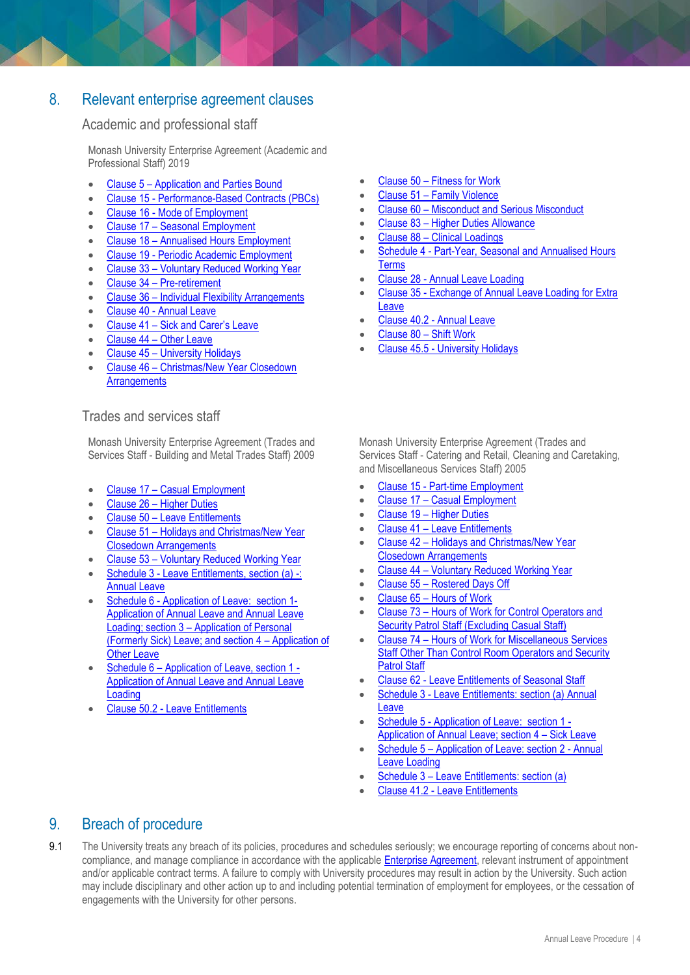# 8. Relevant enterprise agreement clauses

#### Academic and professional staff

Monash University Enterprise Agreement (Academic and Professional Staff) 2019

- Clause 5 [Application and Parties Bound](https://www.monash.edu/current-enterprise-agreements/academic-professional-2019#5)
- Clause 15 [Performance-Based Contracts \(PBCs\)](https://www.monash.edu/current-enterprise-agreements/academic-professional-2019#15)
- Clause 16 [Mode of Employment](https://www.monash.edu/current-enterprise-agreements/academic-professional-2019#16)
- Clause 17 [Seasonal Employment](https://www.monash.edu/current-enterprise-agreements/academic-professional-2019#17)
- Clause 18 [Annualised Hours Employment](https://www.monash.edu/current-enterprise-agreements/academic-professional-2019#18)
- Clause 19 [Periodic Academic Employment](https://www.monash.edu/current-enterprise-agreements/academic-professional-2019#19)
- Clause 33 [Voluntary Reduced Working Year](https://www.monash.edu/current-enterprise-agreements/academic-professional-2019#33)
- Clause 34 [Pre-retirement](https://www.monash.edu/current-enterprise-agreements/academic-professional-2019#34)
- Clause 36 [Individual Flexibility Arrangements](https://www.monash.edu/current-enterprise-agreements/academic-professional-2019#36)
- Clause 40 [Annual Leave](https://www.monash.edu/current-enterprise-agreements/academic-professional-2019#40)
- Clause 41 [Sick and Carer's Leave](https://www.monash.edu/current-enterprise-agreements/academic-professional-2019#41)
- Clause 44 [Other Leave](https://www.monash.edu/current-enterprise-agreements/academic-professional-2019#44)
- Clause 45 [University Holidays](https://www.monash.edu/current-enterprise-agreements/academic-professional-2019#45)
- Clause 46 [Christmas/New Year Closedown](https://www.monash.edu/current-enterprise-agreements/academic-professional-2019#46)  **[Arrangements](https://www.monash.edu/current-enterprise-agreements/academic-professional-2019#46)**

#### Trades and services staff

Monash University Enterprise Agreement (Trades and Services Staff - Building and Metal Trades Staff) 2009

- Clause 17 [Casual Employment](https://www.monash.edu/current-enterprise-agreements/trades-services-bmt-2009/17)
- Clause 26 [Higher Duties](https://www.monash.edu/current-enterprise-agreements/trades-services-bmt-2009/26)
- Clause 50 [Leave Entitlements](https://www.monash.edu/current-enterprise-agreements/trades-services-bmt-2009/50)
- Clause 51 [Holidays and Christmas/New Year](https://www.monash.edu/current-enterprise-agreements/trades-services-bmt-2009/51)  [Closedown Arrangements](https://www.monash.edu/current-enterprise-agreements/trades-services-bmt-2009/51)
- Clause 53 [Voluntary Reduced Working Year](https://www.monash.edu/current-enterprise-agreements/trades-services-bmt-2009/53)
- Schedule 3 [Leave Entitlements, section \(a\) -:](https://www.monash.edu/current-enterprise-agreements/trades-services-bmt-2009/64)  [Annual Leave](https://www.monash.edu/current-enterprise-agreements/trades-services-bmt-2009/64)
- Schedule 6 [Application of Leave:](https://www.monash.edu/current-enterprise-agreements/trades-services-bmt-2009/67) section 1- [Application of Annual Leave and Annual Leave](https://www.monash.edu/current-enterprise-agreements/trades-services-bmt-2009/67)  [Loading;](https://www.monash.edu/current-enterprise-agreements/trades-services-bmt-2009/67) section 3 – Application of Personal (Formerly Sick) Leave; and section 4 – Application of **Other Leave**
- Schedule 6 [Application of Leave, section 1 -](https://www.monash.edu/current-enterprise-agreements/trades-services-bmt-2009/67) [Application of Annual Leave and Annual Leave](https://www.monash.edu/current-enterprise-agreements/trades-services-bmt-2009/67)  [Loading](https://www.monash.edu/current-enterprise-agreements/trades-services-bmt-2009/67)
- Clause 50.2 [Leave Entitlements](https://www.monash.edu/current-enterprise-agreements/trades-services-bmt-2009/50)
- Clause 50 [Fitness for Work](https://www.monash.edu/current-enterprise-agreements/academic-professional-2019#50)
- Clause 51 [Family Violence](https://www.monash.edu/current-enterprise-agreements/academic-professional-2019#51)
- Clause 60 [Misconduct and Serious Misconduct](https://www.monash.edu/current-enterprise-agreements/academic-professional-2019#60)
- Clause 83 [Higher Duties Allowance](https://www.monash.edu/current-enterprise-agreements/academic-professional-2019#83)
- Clause 88 [Clinical Loadings](https://www.monash.edu/current-enterprise-agreements/academic-professional-2019#88)
- Schedule 4 [Part-Year, Seasonal and Annualised Hours](https://www.monash.edu/current-enterprise-agreements/academic-professional-2019#101)  **[Terms](https://www.monash.edu/current-enterprise-agreements/academic-professional-2019#101)**
- Clause 28 [Annual Leave Loading](https://www.monash.edu/current-enterprise-agreements/academic-professional-2019#28)
- Clause 35 [Exchange of Annual Leave Loading for Extra](https://www.monash.edu/current-enterprise-agreements/academic-professional-2019#35)  **[Leave](https://www.monash.edu/current-enterprise-agreements/academic-professional-2019#35)**
- Clause 40.2 [Annual Leave](https://www.monash.edu/current-enterprise-agreements/academic-professional-2019#40)
- [Clause 80](https://www.monash.edu/current-enterprise-agreements/academic-professional-2019#80)  Shift Work
- Clause 45.5 [University Holidays](https://www.monash.edu/current-enterprise-agreements/academic-professional-2019#45)

Monash University Enterprise Agreement (Trades and Services Staff - Catering and Retail, Cleaning and Caretaking, and Miscellaneous Services Staff) 2005

- Clause 15 [Part-time Employment](https://www.monash.edu/current-enterprise-agreements/trades-services-crccm-2005#15)
- Clause 17 [Casual Employment](https://www.monash.edu/current-enterprise-agreements/trades-services-crccm-2005#17)
- Clause 19 [Higher Duties](https://www.monash.edu/current-enterprise-agreements/trades-services-crccm-2005#19)
- Clause 41 [Leave Entitlements](https://www.monash.edu/current-enterprise-agreements/trades-services-crccm-2005#41)
- Clause 42 [Holidays and Christmas/New Year](https://www.monash.edu/current-enterprise-agreements/trades-services-crccm-2005#42)  [Closedown Arrangements](https://www.monash.edu/current-enterprise-agreements/trades-services-crccm-2005#42)
- Clause 44 [Voluntary Reduced Working Year](https://www.monash.edu/current-enterprise-agreements/trades-services-crccm-2005#44)
- Clause 55 [Rostered Days Off](https://www.monash.edu/current-enterprise-agreements/trades-services-crccm-2005#55)
- Clause 65 [Hours of Work](https://www.monash.edu/current-enterprise-agreements/trades-services-crccm-2005#65)
- Clause 73 Hours of Work for Control Operators and **[Security Patrol Staff \(Excluding Casual S](https://www.monash.edu/current-enterprise-agreements/trades-services-crccm-2005#73)taff)**
- Clause 74 [Hours of Work for Miscellaneous Services](https://www.monash.edu/current-enterprise-agreements/trades-services-crccm-2005#74)  [Staff Other Than Control Room Operators and Security](https://www.monash.edu/current-enterprise-agreements/trades-services-crccm-2005#74)  [Patrol Staff](https://www.monash.edu/current-enterprise-agreements/trades-services-crccm-2005#74)
- Clause 62 [Leave Entitlements of Seasonal Staff](https://www.monash.edu/current-enterprise-agreements/trades-services-crccm-2005#62)
- Schedule 3 [Leave Entitlements: section \(a\) Annual](https://www.monash.edu/current-enterprise-agreements/trades-services-crccm-2005#sc5.3)  [Leave](https://www.monash.edu/current-enterprise-agreements/trades-services-crccm-2005#sc5.3)
- Schedule 5 [Application of Leave:](https://www.monash.edu/current-enterprise-agreements/trades-services-crccm-2005#sc5) section 1 [Application of Annual](https://www.monash.edu/current-enterprise-agreements/trades-services-crccm-2005#sc5) Leave; section 4 – Sick Leave
- Schedule 5 [Application of Leave: section 2 -](https://www.monash.edu/current-enterprise-agreements/trades-services-crccm-2005#sc5.2) Annual [Leave Loading](https://www.monash.edu/current-enterprise-agreements/trades-services-crccm-2005#sc5.2)
- Schedule 3 [Leave Entitlements: section \(a\)](https://www.monash.edu/current-enterprise-agreements/trades-services-crccm-2005#sc3)
- Clause 41.2 [Leave Entitlements](https://www.monash.edu/current-enterprise-agreements/trades-services-crccm-2005#41)

# 9. Breach of procedure

9.1 The University treats any breach of its policies, procedures and schedules seriously; we encourage reporting of concerns about noncompliance, and manage compliance in accordance with the applicable **Enterprise Agreement**, relevant instrument of appointment and/or applicable contract terms. A failure to comply with University procedures may result in action by the University. Such action may include disciplinary and other action up to and including potential termination of employment for employees, or the cessation of engagements with the University for other persons.